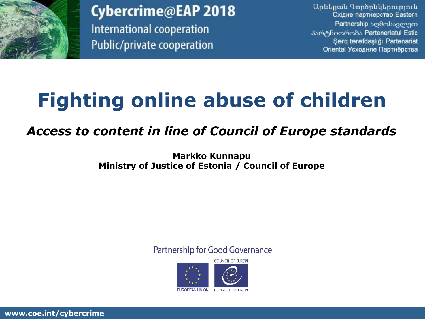

Cybercrime@EAP 2018 International cooperation Public/private cooperation

Արևելյան Գործընկերություն Східне партнерство Eastern Partnership აღმოსავლეთ პარტნიორობა Parteneriatul Estic Şərq tərəfdaşlığı Partenariat Oriental Усходняе Партнёрства

## **Fighting online abuse of children**

## *Access to content in line of Council of Europe standards*

**Markko Kunnapu Ministry of Justice of Estonia / Council of Europe**

Partnership for Good Governance



**www.coe.int/cybercrime**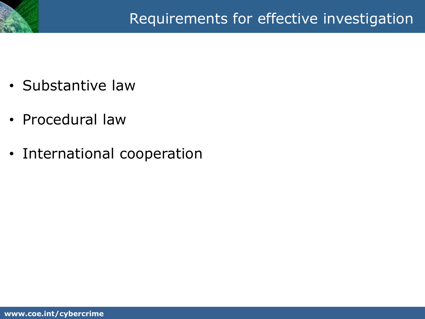

- Substantive law
- Procedural law
- International cooperation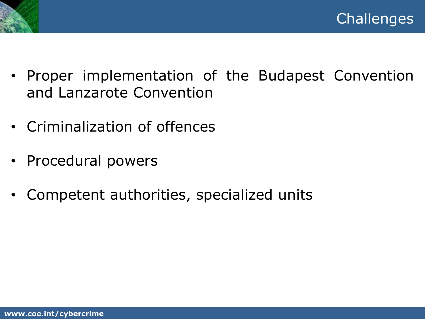

- Proper implementation of the Budapest Convention and Lanzarote Convention
- Criminalization of offences
- Procedural powers
- Competent authorities, specialized units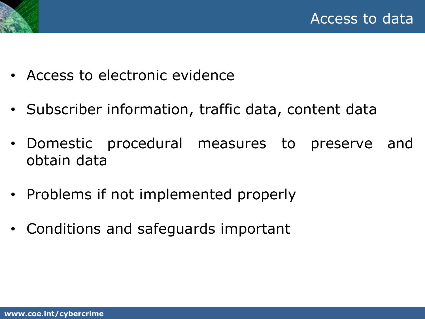



- Access to electronic evidence
- Subscriber information, traffic data, content data
- Domestic procedural measures to preserve and obtain data
- Problems if not implemented properly
- Conditions and safeguards important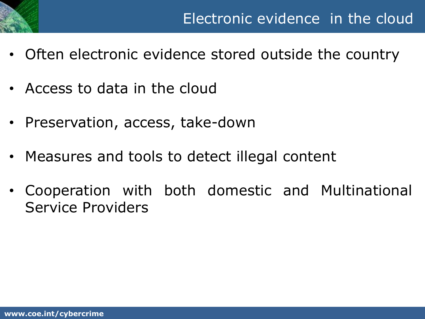

- Often electronic evidence stored outside the country
- Access to data in the cloud
- Preservation, access, take-down
- Measures and tools to detect illegal content
- Cooperation with both domestic and Multinational Service Providers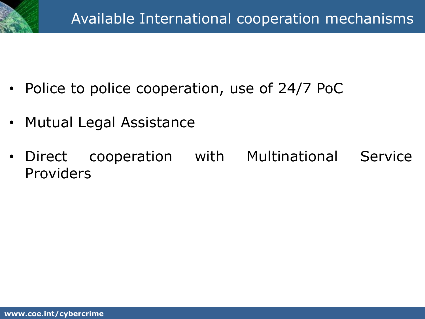- Police to police cooperation, use of 24/7 PoC
- Mutual Legal Assistance
- Direct cooperation with Multinational Service Providers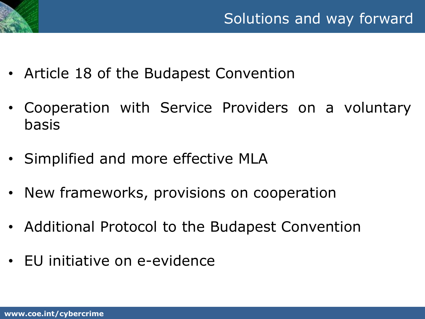

- Article 18 of the Budapest Convention
- Cooperation with Service Providers on a voluntary basis
- Simplified and more effective MLA
- New frameworks, provisions on cooperation
- Additional Protocol to the Budapest Convention
- EU initiative on e-evidence